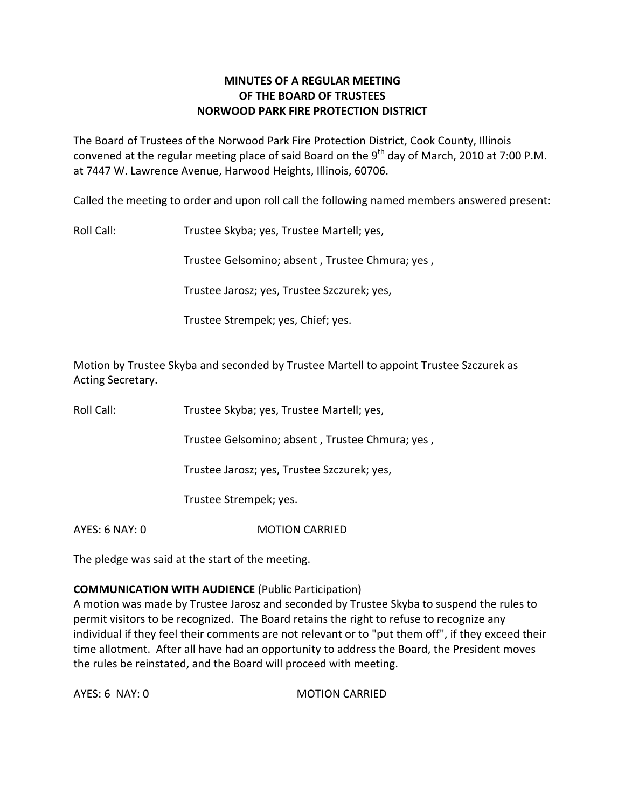# **MINUTES OF A REGULAR MEETING OF THE BOARD OF TRUSTEES NORWOOD PARK FIRE PROTECTION DISTRICT**

The Board of Trustees of the Norwood Park Fire Protection District, Cook County, Illinois convened at the regular meeting place of said Board on the 9<sup>th</sup> day of March, 2010 at 7:00 P.M. at 7447 W. Lawrence Avenue, Harwood Heights, Illinois, 60706.

Called the meeting to order and upon roll call the following named members answered present:

Roll Call: Trustee Skyba; yes, Trustee Martell; yes,

Trustee Gelsomino; absent , Trustee Chmura; yes ,

Trustee Jarosz; yes, Trustee Szczurek; yes,

Trustee Strempek; yes, Chief; yes.

Motion by Trustee Skyba and seconded by Trustee Martell to appoint Trustee Szczurek as Acting Secretary.

Roll Call: Trustee Skyba; yes, Trustee Martell; yes,

Trustee Gelsomino; absent , Trustee Chmura; yes ,

Trustee Jarosz; yes, Trustee Szczurek; yes,

Trustee Strempek; yes.

AYES: 6 NAY: 0 MOTION CARRIED

The pledge was said at the start of the meeting.

# **COMMUNICATION WITH AUDIENCE** (Public Participation)

A motion was made by Trustee Jarosz and seconded by Trustee Skyba to suspend the rules to permit visitors to be recognized. The Board retains the right to refuse to recognize any individual if they feel their comments are not relevant or to "put them off", if they exceed their time allotment. After all have had an opportunity to address the Board, the President moves the rules be reinstated, and the Board will proceed with meeting.

AYES: 6 NAY: 0 MOTION CARRIED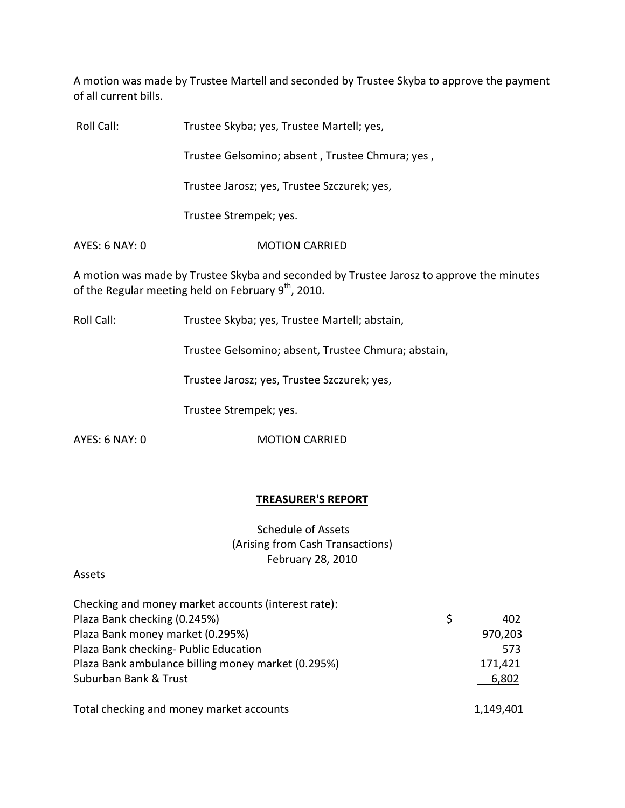A motion was made by Trustee Martell and seconded by Trustee Skyba to approve the payment of all current bills.

| Roll Call:     | Trustee Skyba; yes, Trustee Martell; yes,                                                                                                                   |
|----------------|-------------------------------------------------------------------------------------------------------------------------------------------------------------|
|                | Trustee Gelsomino; absent, Trustee Chmura; yes,                                                                                                             |
|                | Trustee Jarosz; yes, Trustee Szczurek; yes,                                                                                                                 |
|                | Trustee Strempek; yes.                                                                                                                                      |
| AYES: 6 NAY: 0 | <b>MOTION CARRIED</b>                                                                                                                                       |
|                | A motion was made by Trustee Skyba and seconded by Trustee Jarosz to approve the minutes<br>of the Regular meeting held on February 9 <sup>th</sup> , 2010. |
| Roll Call:     | Trustee Skyba; yes, Trustee Martell; abstain,                                                                                                               |
|                | Trustee Gelsomino; absent, Trustee Chmura; abstain,                                                                                                         |
|                | Trustee Jarosz; yes, Trustee Szczurek; yes,                                                                                                                 |
|                | Trustee Strempek; yes.                                                                                                                                      |
| AYES: 6 NAY: 0 | <b>MOTION CARRIED</b>                                                                                                                                       |

# **TREASURER'S REPORT**

Schedule of Assets (Arising from Cash Transactions) February 28, 2010

#### Assets

| Checking and money market accounts (interest rate): |   |           |
|-----------------------------------------------------|---|-----------|
| Plaza Bank checking (0.245%)                        | Ś | 402       |
| Plaza Bank money market (0.295%)                    |   | 970,203   |
| Plaza Bank checking- Public Education               |   | 573       |
| Plaza Bank ambulance billing money market (0.295%)  |   | 171,421   |
| Suburban Bank & Trust                               |   | 6,802     |
| Total checking and money market accounts            |   | 1,149,401 |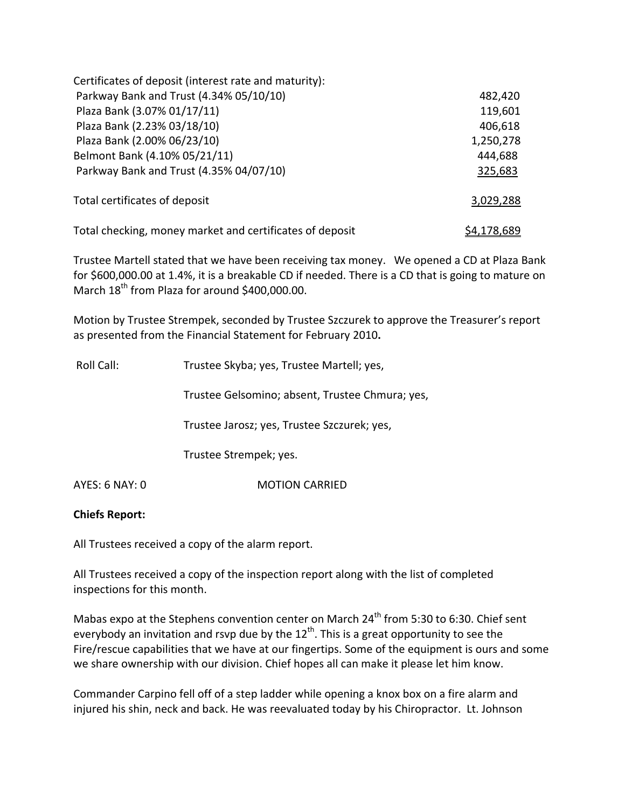| Certificates of deposit (interest rate and maturity):    |                    |
|----------------------------------------------------------|--------------------|
| Parkway Bank and Trust (4.34% 05/10/10)                  | 482,420            |
| Plaza Bank (3.07% 01/17/11)                              | 119,601            |
| Plaza Bank (2.23% 03/18/10)                              | 406,618            |
| Plaza Bank (2.00% 06/23/10)                              | 1,250,278          |
| Belmont Bank (4.10% 05/21/11)                            | 444,688            |
| Parkway Bank and Trust (4.35% 04/07/10)                  | 325,683            |
| Total certificates of deposit                            | 3,029,288          |
| Total checking, money market and certificates of deposit | <u>\$4,178,689</u> |

Trustee Martell stated that we have been receiving tax money. We opened a CD at Plaza Bank for \$600,000.00 at 1.4%, it is a breakable CD if needed. There is a CD that is going to mature on March 18<sup>th</sup> from Plaza for around \$400,000.00.

Motion by Trustee Strempek, seconded by Trustee Szczurek to approve the Treasurer's report as presented from the Financial Statement for February 2010**.**

| Roll Call:     | Trustee Skyba; yes, Trustee Martell; yes,       |
|----------------|-------------------------------------------------|
|                | Trustee Gelsomino; absent, Trustee Chmura; yes, |
|                | Trustee Jarosz; yes, Trustee Szczurek; yes,     |
|                | Trustee Strempek; yes.                          |
| AYES: 6 NAY: 0 | <b>MOTION CARRIED</b>                           |

#### **Chiefs Report:**

All Trustees received a copy of the alarm report.

All Trustees received a copy of the inspection report along with the list of completed inspections for this month.

Mabas expo at the Stephens convention center on March 24<sup>th</sup> from 5:30 to 6:30. Chief sent everybody an invitation and rsvp due by the 12<sup>th</sup>. This is a great opportunity to see the Fire/rescue capabilities that we have at our fingertips. Some of the equipment is ours and some we share ownership with our division. Chief hopes all can make it please let him know.

Commander Carpino fell off of a step ladder while opening a knox box on a fire alarm and injured his shin, neck and back. He was reevaluated today by his Chiropractor. Lt. Johnson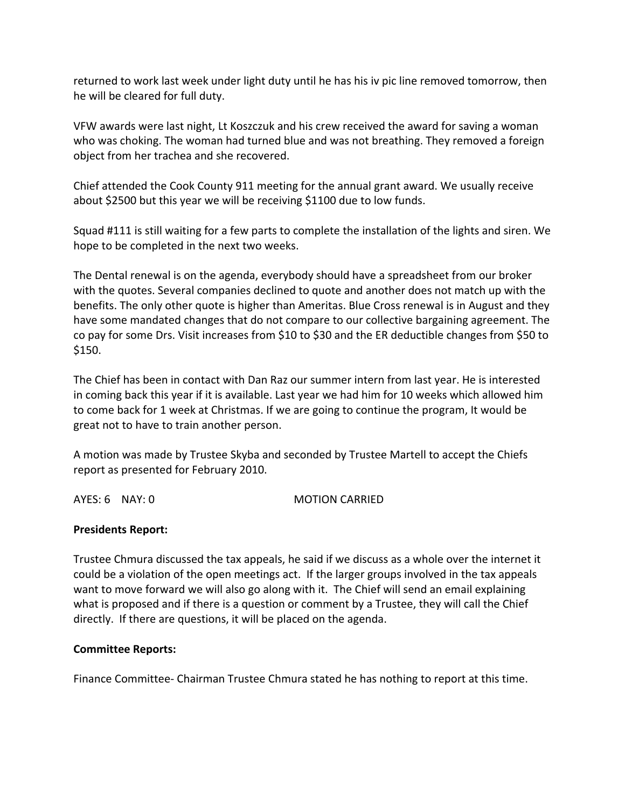returned to work last week under light duty until he has his iv pic line removed tomorrow, then he will be cleared for full duty.

VFW awards were last night, Lt Koszczuk and his crew received the award for saving a woman who was choking. The woman had turned blue and was not breathing. They removed a foreign object from her trachea and she recovered.

Chief attended the Cook County 911 meeting for the annual grant award. We usually receive about \$2500 but this year we will be receiving \$1100 due to low funds.

Squad #111 is still waiting for a few parts to complete the installation of the lights and siren. We hope to be completed in the next two weeks.

The Dental renewal is on the agenda, everybody should have a spreadsheet from our broker with the quotes. Several companies declined to quote and another does not match up with the benefits. The only other quote is higher than Ameritas. Blue Cross renewal is in August and they have some mandated changes that do not compare to our collective bargaining agreement. The co pay for some Drs. Visit increases from \$10 to \$30 and the ER deductible changes from \$50 to \$150.

The Chief has been in contact with Dan Raz our summer intern from last year. He is interested in coming back this year if it is available. Last year we had him for 10 weeks which allowed him to come back for 1 week at Christmas. If we are going to continue the program, It would be great not to have to train another person.

A motion was made by Trustee Skyba and seconded by Trustee Martell to accept the Chiefs report as presented for February 2010.

AYES: 6 NAY: 0 MOTION CARRIED

# **Presidents Report:**

Trustee Chmura discussed the tax appeals, he said if we discuss as a whole over the internet it could be a violation of the open meetings act. If the larger groups involved in the tax appeals want to move forward we will also go along with it. The Chief will send an email explaining what is proposed and if there is a question or comment by a Trustee, they will call the Chief directly. If there are questions, it will be placed on the agenda.

# **Committee Reports:**

Finance Committee‐ Chairman Trustee Chmura stated he has nothing to report at this time.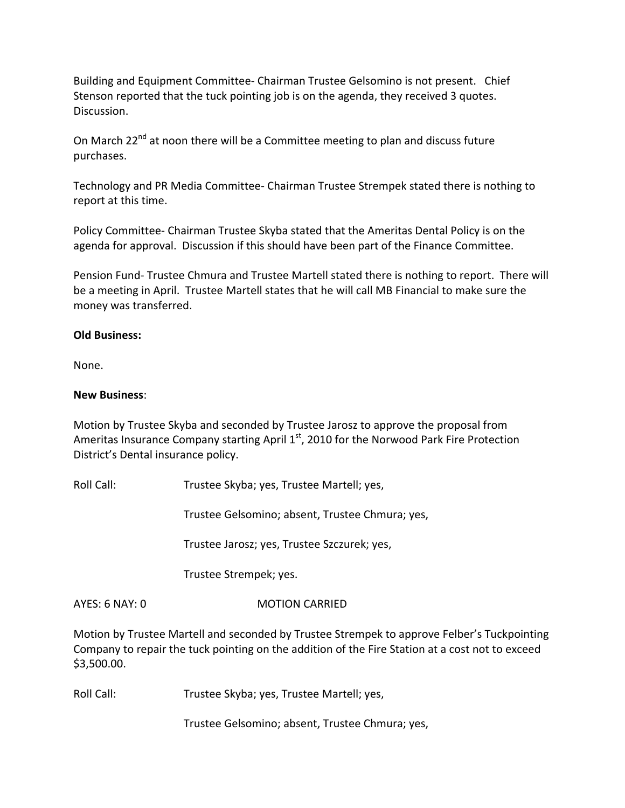Building and Equipment Committee‐ Chairman Trustee Gelsomino is not present. Chief Stenson reported that the tuck pointing job is on the agenda, they received 3 quotes. Discussion.

On March  $22^{nd}$  at noon there will be a Committee meeting to plan and discuss future purchases.

Technology and PR Media Committee‐ Chairman Trustee Strempek stated there is nothing to report at this time.

Policy Committee‐ Chairman Trustee Skyba stated that the Ameritas Dental Policy is on the agenda for approval. Discussion if this should have been part of the Finance Committee.

Pension Fund‐ Trustee Chmura and Trustee Martell stated there is nothing to report. There will be a meeting in April. Trustee Martell states that he will call MB Financial to make sure the money was transferred.

#### **Old Business:**

None.

#### **New Business**:

Motion by Trustee Skyba and seconded by Trustee Jarosz to approve the proposal from Ameritas Insurance Company starting April 1<sup>st</sup>, 2010 for the Norwood Park Fire Protection District's Dental insurance policy.

Roll Call: Trustee Skyba; yes, Trustee Martell; yes,

Trustee Gelsomino; absent, Trustee Chmura; yes,

Trustee Jarosz; yes, Trustee Szczurek; yes,

Trustee Strempek; yes.

AYES: 6 NAY: 0 MOTION CARRIED

Motion by Trustee Martell and seconded by Trustee Strempek to approve Felber's Tuckpointing Company to repair the tuck pointing on the addition of the Fire Station at a cost not to exceed \$3,500.00.

Roll Call: Trustee Skyba; yes, Trustee Martell; yes,

Trustee Gelsomino; absent, Trustee Chmura; yes,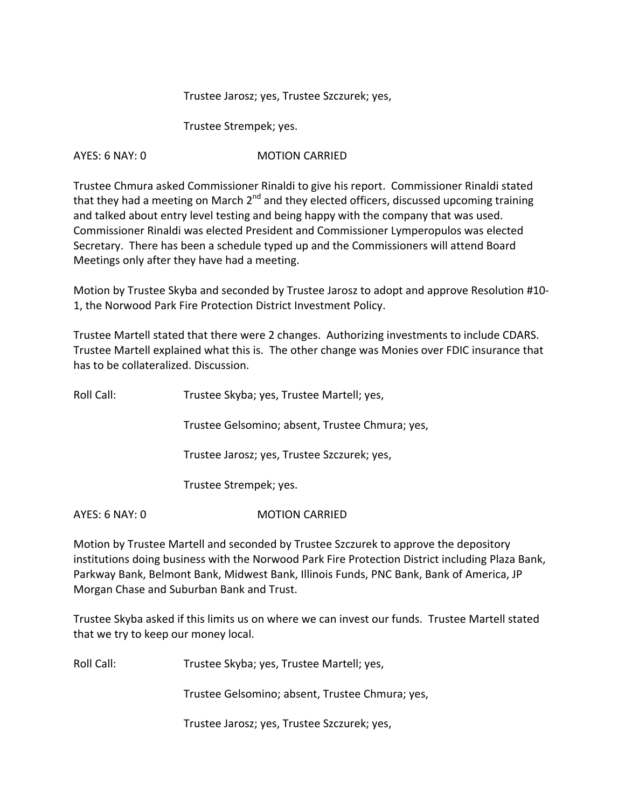#### Trustee Jarosz; yes, Trustee Szczurek; yes,

Trustee Strempek; yes.

#### AYES: 6 NAY: 0 **MOTION CARRIED**

Trustee Chmura asked Commissioner Rinaldi to give his report. Commissioner Rinaldi stated that they had a meeting on March 2<sup>nd</sup> and they elected officers, discussed upcoming training and talked about entry level testing and being happy with the company that was used. Commissioner Rinaldi was elected President and Commissioner Lymperopulos was elected Secretary. There has been a schedule typed up and the Commissioners will attend Board Meetings only after they have had a meeting.

Motion by Trustee Skyba and seconded by Trustee Jarosz to adopt and approve Resolution #10‐ 1, the Norwood Park Fire Protection District Investment Policy.

Trustee Martell stated that there were 2 changes. Authorizing investments to include CDARS. Trustee Martell explained what this is. The other change was Monies over FDIC insurance that has to be collateralized. Discussion.

| Roll Call:     | Trustee Skyba; yes, Trustee Martell; yes,       |
|----------------|-------------------------------------------------|
|                | Trustee Gelsomino; absent, Trustee Chmura; yes, |
|                | Trustee Jarosz; yes, Trustee Szczurek; yes,     |
|                | Trustee Strempek; yes.                          |
| AYES: 6 NAY: 0 | <b>MOTION CARRIED</b>                           |

Motion by Trustee Martell and seconded by Trustee Szczurek to approve the depository institutions doing business with the Norwood Park Fire Protection District including Plaza Bank, Parkway Bank, Belmont Bank, Midwest Bank, Illinois Funds, PNC Bank, Bank of America, JP Morgan Chase and Suburban Bank and Trust.

Trustee Skyba asked if this limits us on where we can invest our funds. Trustee Martell stated that we try to keep our money local.

Roll Call: Trustee Skyba; yes, Trustee Martell; yes,

Trustee Gelsomino; absent, Trustee Chmura; yes,

Trustee Jarosz; yes, Trustee Szczurek; yes,